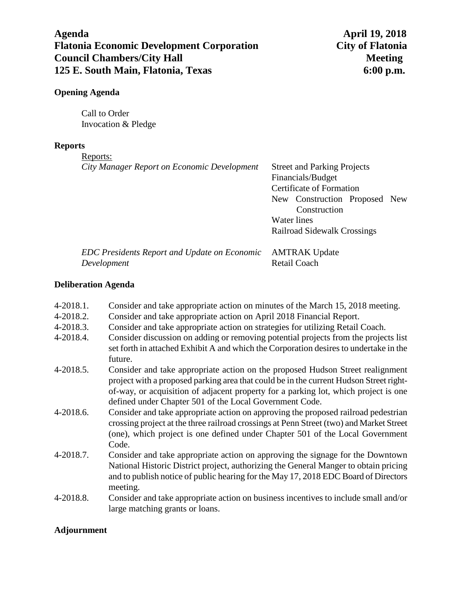# **Agenda April 19, 2018 Flatonia Economic Development Corporation City of Flatonia Council Chambers/City Hall Meeting 125 E. South Main, Flatonia, Texas 6:00 p.m.**

### **Opening Agenda**

Call to Order Invocation & Pledge

#### **Reports**

Reports:

| City Manager Report on Economic Development  | <b>Street and Parking Projects</b> |
|----------------------------------------------|------------------------------------|
|                                              | Financials/Budget                  |
|                                              | Certificate of Formation           |
|                                              | New Construction Proposed New      |
|                                              | Construction                       |
|                                              | Water lines                        |
|                                              | <b>Railroad Sidewalk Crossings</b> |
| FDC Presidents Report and Undate on Economic | AMTRAK Undate                      |

*EDC Presidents Report and Update on Economic* AMTRAK Update *Development* Retail Coach

## **Deliberation Agenda**

- 4-2018.1. Consider and take appropriate action on minutes of the March 15, 2018 meeting.
- 4-2018.2. Consider and take appropriate action on April 2018 Financial Report.
- 4-2018.3. Consider and take appropriate action on strategies for utilizing Retail Coach.
- 4-2018.4. Consider discussion on adding or removing potential projects from the projects list set forth in attached Exhibit A and which the Corporation desires to undertake in the future.
- 4-2018.5. Consider and take appropriate action on the proposed Hudson Street realignment project with a proposed parking area that could be in the current Hudson Street rightof-way, or acquisition of adjacent property for a parking lot, which project is one defined under Chapter 501 of the Local Government Code.
- 4-2018.6. Consider and take appropriate action on approving the proposed railroad pedestrian crossing project at the three railroad crossings at Penn Street (two) and Market Street (one), which project is one defined under Chapter 501 of the Local Government Code.
- 4-2018.7. Consider and take appropriate action on approving the signage for the Downtown National Historic District project, authorizing the General Manger to obtain pricing and to publish notice of public hearing for the May 17, 2018 EDC Board of Directors meeting.
- 4-2018.8. Consider and take appropriate action on business incentives to include small and/or large matching grants or loans.

## **Adjournment**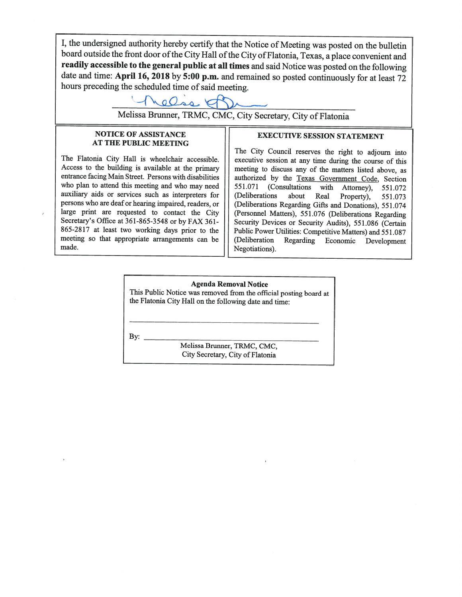I, the undersigned authority hereby certify that the Notice of Meeting was posted on the bulletin board outside the front door of the City Hall of the City of Flatonia, Texas, a place convenient and readily accessible to the general public at all times and said Notice was posted on the following date and time: April 16, 2018 by 5:00 p.m. and remained so posted continuously for at least 72 hours preceding the scheduled time of said meeting.

relise of De

Melissa Brunner, TRMC, CMC, City Secretary, City of Flatonia

#### **NOTICE OF ASSISTANCE AT THE PUBLIC MEETING**

The Flatonia City Hall is wheelchair accessible. Access to the building is available at the primary entrance facing Main Street. Persons with disabilities who plan to attend this meeting and who may need auxiliary aids or services such as interpreters for persons who are deaf or hearing impaired, readers, or large print are requested to contact the City Secretary's Office at 361-865-3548 or by FAX 361-865-2817 at least two working days prior to the meeting so that appropriate arrangements can be made.

#### **EXECUTIVE SESSION STATEMENT**

The City Council reserves the right to adjourn into executive session at any time during the course of this meeting to discuss any of the matters listed above, as authorized by the Texas Government Code, Section 551.071 (Consultations with Attorney),  $551.072$ (Deliberations about Real Property), 551.073 (Deliberations Regarding Gifts and Donations), 551.074 (Personnel Matters), 551.076 (Deliberations Regarding Security Devices or Security Audits), 551.086 (Certain Public Power Utilities: Competitive Matters) and 551.087 (Deliberation Regarding Economic Development Negotiations).

#### **Agenda Removal Notice** This Public Notice was removed from the official posting board at the Flatonia City Hall on the following date and time:

 $\mathbf{By:}$ 

Melissa Brunner, TRMC, CMC, City Secretary, City of Flatonia